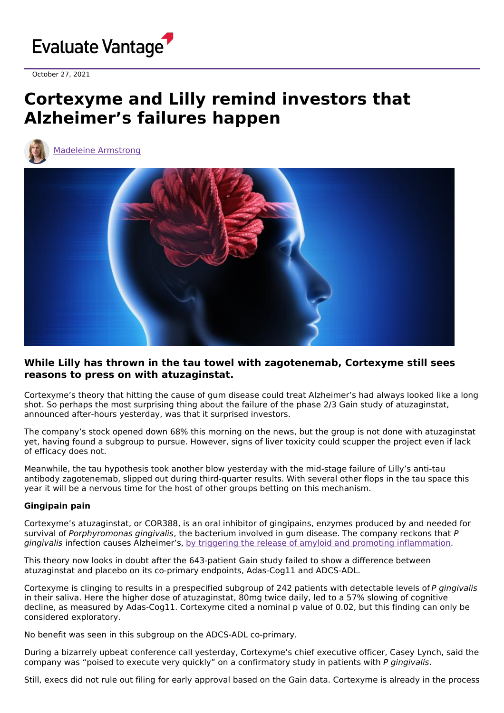

October 27, 2021

## **Cortexyme and Lilly remind investors that Alzheimer's failures happen**



Madeleine [Armstrong](https://www.evaluate.com/vantage/editorial-team/madeleine-armstrong)



## **While Lilly has thrown in the tau towel with zagotenemab, Cortexyme still sees reasons to press on with atuzaginstat.**

Cortexyme's theory that hitting the cause of gum disease could treat Alzheimer's had always looked like a long shot. So perhaps the most surprising thing about the failure of the phase 2/3 Gain study of atuzaginstat, announced after-hours yesterday, was that it surprised investors.

The company's stock opened down 68% this morning on the news, but the group is not done with atuzaginstat yet, having found a subgroup to pursue. However, signs of liver toxicity could scupper the project even if lack of efficacy does not.

Meanwhile, the tau hypothesis took another blow yesterday with the mid-stage failure of Lilly's anti-tau antibody zagotenemab, slipped out during third-quarter results. With several other flops in the tau space this year it will be a nervous time for the host of other groups betting on this mechanism.

## **Gingipain pain**

Cortexyme's atuzaginstat, or COR388, is an oral inhibitor of gingipains, enzymes produced by and needed for survival of Porphyromonas gingivalis, the bacterium involved in gum disease. The company reckons that P gingivalis infection causes Alzheimer's, by triggering the release of amyloid and promoting [inflammation](https://www.newscientist.com/article/2191814-we-may-finally-know-what-causes-alzheimers-and-how-to-stop-it/).

This theory now looks in doubt after the 643-patient Gain study failed to show a difference between atuzaginstat and placebo on its co-primary endpoints, Adas-Cog11 and ADCS-ADL.

Cortexyme is clinging to results in a prespecified subgroup of 242 patients with detectable levels of P gingivalis in their saliva. Here the higher dose of atuzaginstat, 80mg twice daily, led to a 57% slowing of cognitive decline, as measured by Adas-Cog11. Cortexyme cited a nominal p value of 0.02, but this finding can only be considered exploratory.

No benefit was seen in this subgroup on the ADCS-ADL co-primary.

During a bizarrely upbeat conference call yesterday, Cortexyme's chief executive officer, Casey Lynch, said the company was "poised to execute very quickly" on a confirmatory study in patients with P gingivalis.

Still, execs did not rule out filing for early approval based on the Gain data. Cortexyme is already in the process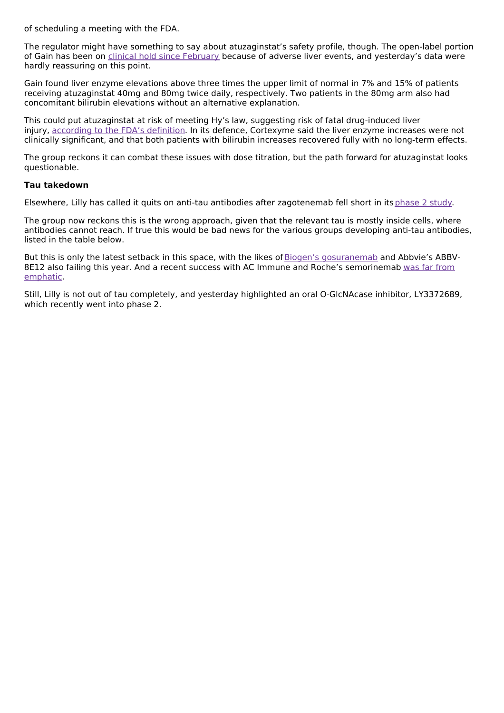of scheduling a meeting with the FDA.

The regulator might have something to say about atuzaginstat's safety profile, though. The open-label portion of Gain has been on clinical hold since [February](https://www.cortexyme.com/cortexyme-provides-regulatory-update-on-development-program-for-atuzaginstat-in-alzheimers-disease/) because of adverse liver events, and yesterday's data were hardly reassuring on this point.

Gain found liver enzyme elevations above three times the upper limit of normal in 7% and 15% of patients receiving atuzaginstat 40mg and 80mg twice daily, respectively. Two patients in the 80mg arm also had concomitant bilirubin elevations without an alternative explanation.

This could put atuzaginstat at risk of meeting Hy's law, suggesting risk of fatal drug-induced liver injury, [according](https://www.fda.gov/media/116737/download) to the FDA's definition. In its defence, Cortexyme said the liver enzyme increases were not clinically significant, and that both patients with bilirubin increases recovered fully with no long-term effects.

The group reckons it can combat these issues with dose titration, but the path forward for atuzaginstat looks questionable.

## **Tau takedown**

Elsewhere, Lilly has called it quits on anti-tau antibodies after zagotenemab fell short in its[phase](https://clinicaltrials.gov/ct2/show/NCT03518073) 2 study.

The group now reckons this is the wrong approach, given that the relevant tau is mostly inside cells, where antibodies cannot reach. If true this would be bad news for the various groups developing anti-tau antibodies, listed in the table below.

But this is only the latest setback in this space, with the likes of Biogen's [gosuranemab](https://www.evaluate.com/vantage/articles/news/trial-results/biogen-deals-tau-pipeline-another-blow) and Abbvie's ABBV-8E12 also failing this year. And a recent success with AC Immune and Roche's [semorinemab](https://www.evaluate.com/vantage/articles/news/trial-results/ac-immune-claims-tau-win-alzheimers) was far from emphatic.

Still, Lilly is not out of tau completely, and yesterday highlighted an oral O-GlcNAcase inhibitor, LY3372689, which recently went into phase 2.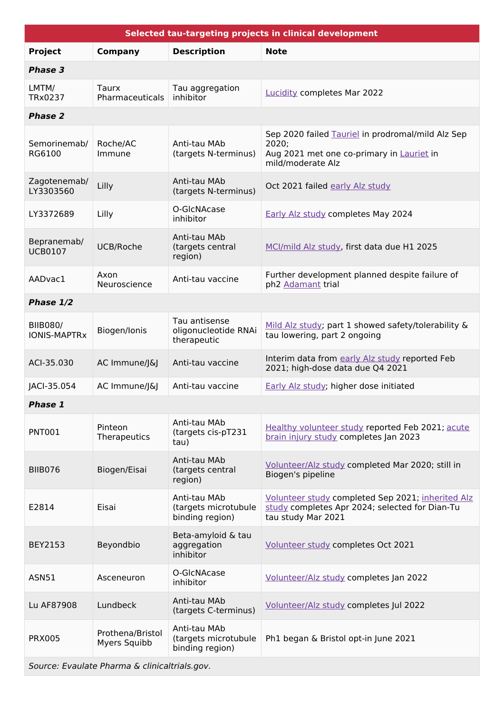| Selected tau-targeting projects in clinical development |                                  |                                                         |                                                                                                                              |
|---------------------------------------------------------|----------------------------------|---------------------------------------------------------|------------------------------------------------------------------------------------------------------------------------------|
| <b>Project</b>                                          | <b>Company</b>                   | <b>Description</b>                                      | <b>Note</b>                                                                                                                  |
| Phase 3                                                 |                                  |                                                         |                                                                                                                              |
| LMTM/<br>TRx0237                                        | Taurx<br>Pharmaceuticals         | Tau aggregation<br>inhibitor                            | <b>Lucidity completes Mar 2022</b>                                                                                           |
| <b>Phase 2</b>                                          |                                  |                                                         |                                                                                                                              |
| Semorinemab/<br>RG6100                                  | Roche/AC<br>Immune               | Anti-tau MAb<br>(targets N-terminus)                    | Sep 2020 failed Tauriel in prodromal/mild Alz Sep<br>2020;<br>Aug 2021 met one co-primary in Lauriet in<br>mild/moderate Alz |
| Zagotenemab/<br>LY3303560                               | Lilly                            | Anti-tau MAb<br>(targets N-terminus)                    | Oct 2021 failed early Alz study                                                                                              |
| LY3372689                                               | Lilly                            | O-GlcNAcase<br>inhibitor                                | Early Alz study completes May 2024                                                                                           |
| Bepranemab/<br><b>UCB0107</b>                           | UCB/Roche                        | Anti-tau MAb<br>(targets central<br>region)             | MCI/mild Alz study, first data due H1 2025                                                                                   |
| AADvac1                                                 | Axon<br>Neuroscience             | Anti-tau vaccine                                        | Further development planned despite failure of<br>ph2 Adamant trial                                                          |
| Phase 1/2                                               |                                  |                                                         |                                                                                                                              |
| <b>BIIB080/</b><br><b>IONIS-MAPTRx</b>                  | Biogen/Ionis                     | Tau antisense<br>oligonucleotide RNAi<br>therapeutic    | Mild Alz study; part 1 showed safety/tolerability &<br>tau lowering, part 2 ongoing                                          |
| ACI-35.030                                              | AC Immune/J&J                    | Anti-tau vaccine                                        | Interim data from early Alz study reported Feb<br>2021; high-dose data due Q4 2021                                           |
| JACI-35.054                                             | AC Immune/J&J                    | Anti-tau vaccine                                        | Early Alz study; higher dose initiated                                                                                       |
| Phase 1                                                 |                                  |                                                         |                                                                                                                              |
| <b>PNT001</b>                                           | Pinteon<br>Therapeutics          | Anti-tau MAb<br>(targets cis-pT231<br>tau)              | Healthy volunteer study reported Feb 2021; acute<br>brain injury study completes Jan 2023                                    |
| <b>BIIB076</b>                                          | Biogen/Eisai                     | Anti-tau MAb<br>(targets central<br>region)             | Volunteer/Alz study completed Mar 2020; still in<br>Biogen's pipeline                                                        |
| E2814                                                   | Eisai                            | Anti-tau MAb<br>(targets microtubule<br>binding region) | Volunteer study completed Sep 2021; inherited Alz<br>study completes Apr 2024; selected for Dian-Tu<br>tau study Mar 2021    |
| BEY2153                                                 | Beyondbio                        | Beta-amyloid & tau<br>aggregation<br>inhibitor          | Volunteer study completes Oct 2021                                                                                           |
| ASN51                                                   | Asceneuron                       | O-GIcNAcase<br>inhibitor                                | Volunteer/Alz study completes Jan 2022                                                                                       |
| Lu AF87908                                              | Lundbeck                         | Anti-tau MAb<br>(targets C-terminus)                    | Volunteer/Alz study completes Jul 2022                                                                                       |
| <b>PRX005</b>                                           | Prothena/Bristol<br>Myers Squibb | Anti-tau MAb<br>(targets microtubule<br>binding region) | Ph1 began & Bristol opt-in June 2021                                                                                         |
| Source: Evaulate Pharma & clinicaltrials.gov.           |                                  |                                                         |                                                                                                                              |